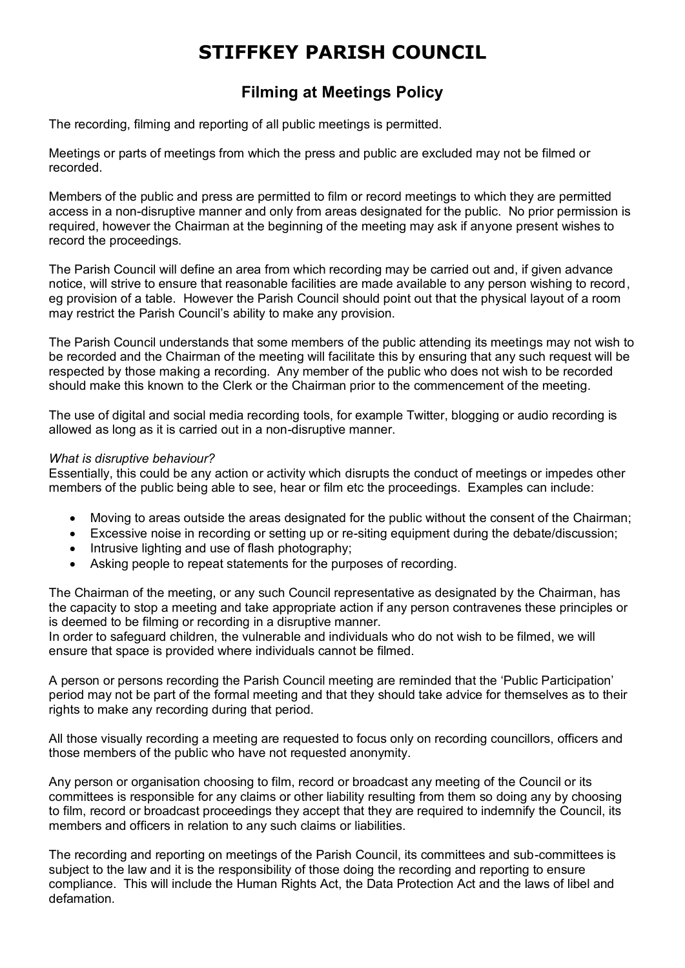## **STIFFKEY PARISH COUNCIL**

## **Filming at Meetings Policy**

The recording, filming and reporting of all public meetings is permitted.

Meetings or parts of meetings from which the press and public are excluded may not be filmed or recorded.

Members of the public and press are permitted to film or record meetings to which they are permitted access in a non-disruptive manner and only from areas designated for the public. No prior permission is required, however the Chairman at the beginning of the meeting may ask if anyone present wishes to record the proceedings.

The Parish Council will define an area from which recording may be carried out and, if given advance notice, will strive to ensure that reasonable facilities are made available to any person wishing to record, eg provision of a table. However the Parish Council should point out that the physical layout of a room may restrict the Parish Council's ability to make any provision.

The Parish Council understands that some members of the public attending its meetings may not wish to be recorded and the Chairman of the meeting will facilitate this by ensuring that any such request will be respected by those making a recording. Any member of the public who does not wish to be recorded should make this known to the Clerk or the Chairman prior to the commencement of the meeting.

The use of digital and social media recording tools, for example Twitter, blogging or audio recording is allowed as long as it is carried out in a non-disruptive manner.

## *What is disruptive behaviour?*

Essentially, this could be any action or activity which disrupts the conduct of meetings or impedes other members of the public being able to see, hear or film etc the proceedings. Examples can include:

- Moving to areas outside the areas designated for the public without the consent of the Chairman;
- Excessive noise in recording or setting up or re-siting equipment during the debate/discussion;
- Intrusive lighting and use of flash photography;
- Asking people to repeat statements for the purposes of recording.

The Chairman of the meeting, or any such Council representative as designated by the Chairman, has the capacity to stop a meeting and take appropriate action if any person contravenes these principles or is deemed to be filming or recording in a disruptive manner.

In order to safeguard children, the vulnerable and individuals who do not wish to be filmed, we will ensure that space is provided where individuals cannot be filmed.

A person or persons recording the Parish Council meeting are reminded that the 'Public Participation' period may not be part of the formal meeting and that they should take advice for themselves as to their rights to make any recording during that period.

All those visually recording a meeting are requested to focus only on recording councillors, officers and those members of the public who have not requested anonymity.

Any person or organisation choosing to film, record or broadcast any meeting of the Council or its committees is responsible for any claims or other liability resulting from them so doing any by choosing to film, record or broadcast proceedings they accept that they are required to indemnify the Council, its members and officers in relation to any such claims or liabilities.

The recording and reporting on meetings of the Parish Council, its committees and sub-committees is subject to the law and it is the responsibility of those doing the recording and reporting to ensure compliance. This will include the Human Rights Act, the Data Protection Act and the laws of libel and defamation.